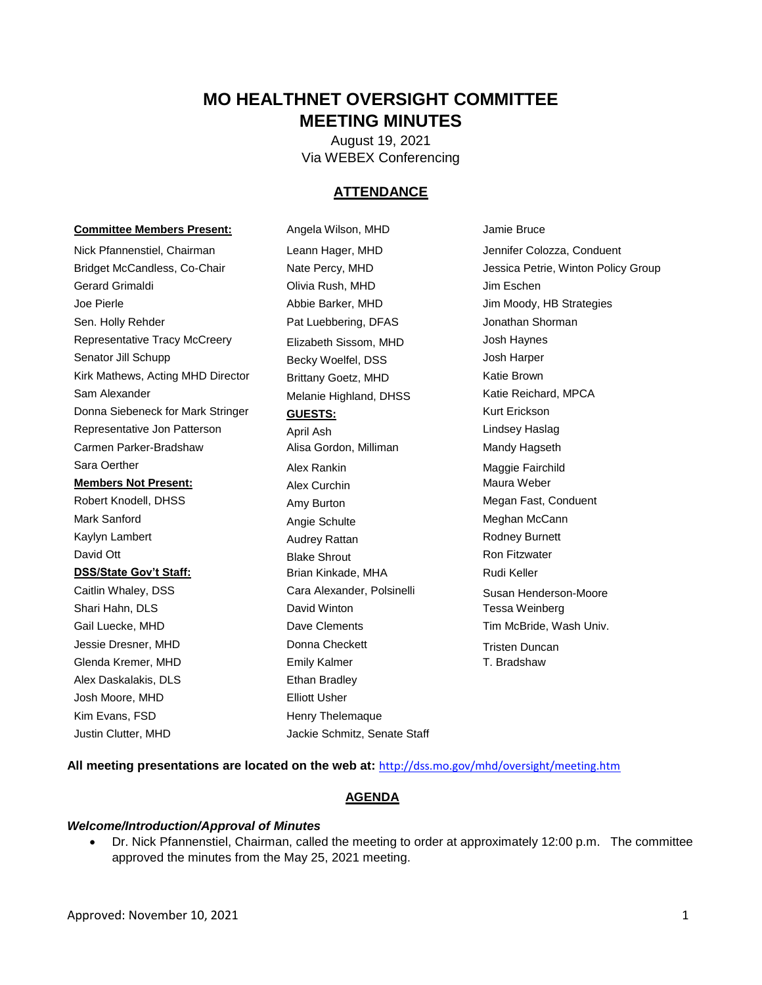# **MO HEALTHNET OVERSIGHT COMMITTEE MEETING MINUTES**

August 19, 2021 Via WEBEX Conferencing

# **ATTENDANCE**

#### **Committee Members Present:** Angela Wilson, MHD **Jamie Bruce**

Nick Pfannenstiel, Chairman Leann Hager, MHD Jennifer Colozza, Conduent Gerard Grimaldi Olivia Rush, MHD Jim Eschen Joe Pierle Abbie Barker, MHD Jim Moody, HB Strategies Sen. Holly Rehder **Pat Luebbering, DFAS** Jonathan Shorman Jonathan Shorman Representative Tracy McCreery **Elizabeth Sissom, MHD** Josh Haynes Senator Jill Schupp **Becky Woelfel, DSS** Josh Harper Kirk Mathews, Acting MHD Director Brittany Goetz, MHD Katie Brown Sam Alexander **Melanie Highland, DHSS** Katie Reichard, MPCA Donna Siebeneck for Mark Stringer **GUESTS:** Kurt Erickson Representative Jon Patterson **April Ash** Ash Lindsey Haslag Carmen Parker-Bradshaw **Alisa Gordon, Milliman** Mandy Hagseth Sara Oerther **Alex Rankin** Maggie Fairchild Maggie Fairchild **Members Not Present:** Alex Curchin Maura Weber Maura Weber Robert Knodell, DHSS **Amy Burton** Amy Hurton Megan Fast, Conduent Mark Sanford **Angie Schulte** Meghan McCann Kaylyn Lambert **Audrey Rattan** Audrey Rattan **Rodney Burnett** David Ott **Blake Shrout** Blake Shrout **Ron Fitzwater DSS/State Gov't Staff:** Brian Kinkade, MHA Rudi Keller Caitlin Whaley, DSS **Cara Alexander, Polsinelli** Susan Henderson-Moore Shari Hahn, DLS David Winton Tessa Weinberg Gail Luecke, MHD **Dave Clements** Dave Clements Tim McBride, Wash Univ. Jessie Dresner, MHD **Donna Checkett** Tristen Duncan Glenda Kremer, MHD **Emily Kalmer** T. Bradshaw Alex Daskalakis, DLS<br>
Ethan Bradley Josh Moore, MHD Elliott Usher Kim Evans, FSD Henry Thelemaque

Justin Clutter, MHD Jackie Schmitz, Senate Staff

Bridget McCandless, Co-Chair **Nate Percy, MHD** Jessica Petrie, Winton Policy Group

**All meeting presentations are located on the web at:** <http://dss.mo.gov/mhd/oversight/meeting.htm>

# **AGENDA**

#### *Welcome/Introduction/Approval of Minutes*

 Dr. Nick Pfannenstiel, Chairman, called the meeting to order at approximately 12:00 p.m. The committee approved the minutes from the May 25, 2021 meeting.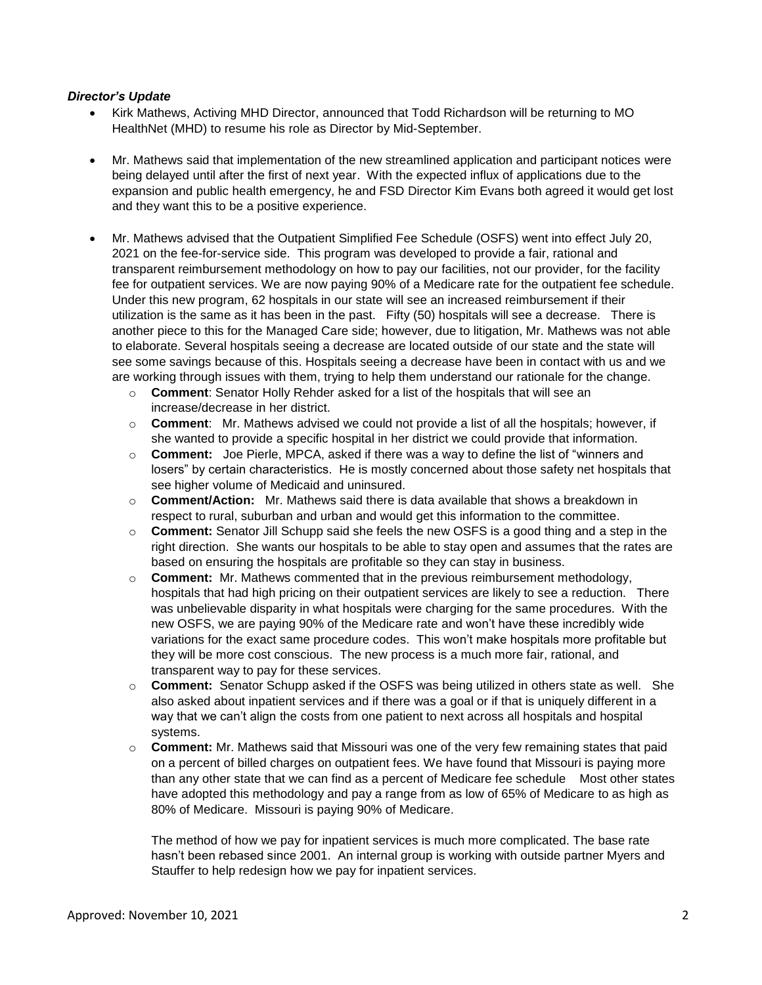## *Director's Update*

- Kirk Mathews, Activing MHD Director, announced that Todd Richardson will be returning to MO HealthNet (MHD) to resume his role as Director by Mid-September.
- Mr. Mathews said that implementation of the new streamlined application and participant notices were being delayed until after the first of next year. With the expected influx of applications due to the expansion and public health emergency, he and FSD Director Kim Evans both agreed it would get lost and they want this to be a positive experience.
- Mr. Mathews advised that the Outpatient Simplified Fee Schedule (OSFS) went into effect July 20, 2021 on the fee-for-service side. This program was developed to provide a fair, rational and transparent reimbursement methodology on how to pay our facilities, not our provider, for the facility fee for outpatient services. We are now paying 90% of a Medicare rate for the outpatient fee schedule. Under this new program, 62 hospitals in our state will see an increased reimbursement if their utilization is the same as it has been in the past. Fifty (50) hospitals will see a decrease. There is another piece to this for the Managed Care side; however, due to litigation, Mr. Mathews was not able to elaborate. Several hospitals seeing a decrease are located outside of our state and the state will see some savings because of this. Hospitals seeing a decrease have been in contact with us and we are working through issues with them, trying to help them understand our rationale for the change.
	- o **Comment**: Senator Holly Rehder asked for a list of the hospitals that will see an increase/decrease in her district.
	- o **Comment**: Mr. Mathews advised we could not provide a list of all the hospitals; however, if she wanted to provide a specific hospital in her district we could provide that information.
	- o **Comment:** Joe Pierle, MPCA, asked if there was a way to define the list of "winners and losers" by certain characteristics. He is mostly concerned about those safety net hospitals that see higher volume of Medicaid and uninsured.
	- o **Comment/Action:** Mr. Mathews said there is data available that shows a breakdown in respect to rural, suburban and urban and would get this information to the committee.
	- o **Comment:** Senator Jill Schupp said she feels the new OSFS is a good thing and a step in the right direction. She wants our hospitals to be able to stay open and assumes that the rates are based on ensuring the hospitals are profitable so they can stay in business.
	- o **Comment:**Mr. Mathews commented that in the previous reimbursement methodology, hospitals that had high pricing on their outpatient services are likely to see a reduction. There was unbelievable disparity in what hospitals were charging for the same procedures. With the new OSFS, we are paying 90% of the Medicare rate and won't have these incredibly wide variations for the exact same procedure codes. This won't make hospitals more profitable but they will be more cost conscious. The new process is a much more fair, rational, and transparent way to pay for these services.
	- o **Comment:**Senator Schupp asked if the OSFS was being utilized in others state as well. She also asked about inpatient services and if there was a goal or if that is uniquely different in a way that we can't align the costs from one patient to next across all hospitals and hospital systems.
	- o **Comment:** Mr. Mathews said that Missouri was one of the very few remaining states that paid on a percent of billed charges on outpatient fees. We have found that Missouri is paying more than any other state that we can find as a percent of Medicare fee schedule Most other states have adopted this methodology and pay a range from as low of 65% of Medicare to as high as 80% of Medicare. Missouri is paying 90% of Medicare.

The method of how we pay for inpatient services is much more complicated. The base rate hasn't been rebased since 2001. An internal group is working with outside partner Myers and Stauffer to help redesign how we pay for inpatient services.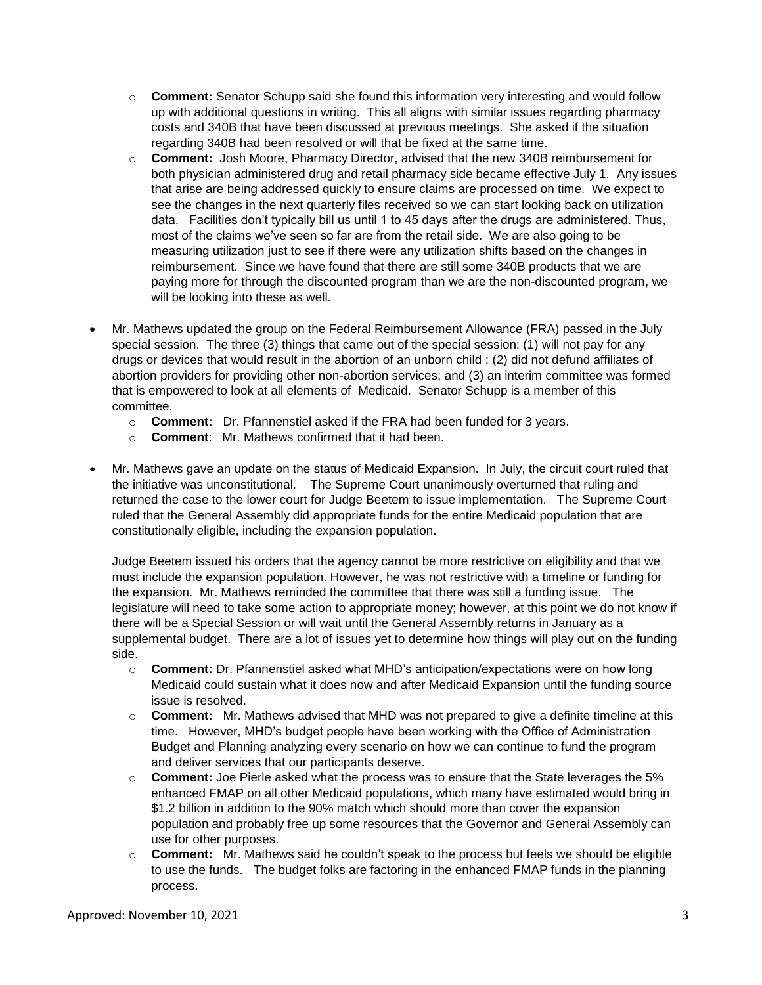- o **Comment:** Senator Schupp said she found this information very interesting and would follow up with additional questions in writing. This all aligns with similar issues regarding pharmacy costs and 340B that have been discussed at previous meetings. She asked if the situation regarding 340B had been resolved or will that be fixed at the same time.
- o **Comment:** Josh Moore, Pharmacy Director, advised that the new 340B reimbursement for both physician administered drug and retail pharmacy side became effective July 1. Any issues that arise are being addressed quickly to ensure claims are processed on time. We expect to see the changes in the next quarterly files received so we can start looking back on utilization data. Facilities don't typically bill us until 1 to 45 days after the drugs are administered. Thus, most of the claims we've seen so far are from the retail side. We are also going to be measuring utilization just to see if there were any utilization shifts based on the changes in reimbursement. Since we have found that there are still some 340B products that we are paying more for through the discounted program than we are the non-discounted program, we will be looking into these as well.
- Mr. Mathews updated the group on the Federal Reimbursement Allowance (FRA) passed in the July special session. The three (3) things that came out of the special session: (1) will not pay for any drugs or devices that would result in the abortion of an unborn child ; (2) did not defund affiliates of abortion providers for providing other non-abortion services; and (3) an interim committee was formed that is empowered to look at all elements of Medicaid. Senator Schupp is a member of this committee.
	- o **Comment:** Dr. Pfannenstiel asked if the FRA had been funded for 3 years.
	- o **Comment**: Mr. Mathews confirmed that it had been.
- Mr. Mathews gave an update on the status of Medicaid Expansion. In July, the circuit court ruled that the initiative was unconstitutional. The Supreme Court unanimously overturned that ruling and returned the case to the lower court for Judge Beetem to issue implementation. The Supreme Court ruled that the General Assembly did appropriate funds for the entire Medicaid population that are constitutionally eligible, including the expansion population.

Judge Beetem issued his orders that the agency cannot be more restrictive on eligibility and that we must include the expansion population. However, he was not restrictive with a timeline or funding for the expansion. Mr. Mathews reminded the committee that there was still a funding issue. The legislature will need to take some action to appropriate money; however, at this point we do not know if there will be a Special Session or will wait until the General Assembly returns in January as a supplemental budget. There are a lot of issues yet to determine how things will play out on the funding side.

- o **Comment:** Dr. Pfannenstiel asked what MHD's anticipation/expectations were on how long Medicaid could sustain what it does now and after Medicaid Expansion until the funding source issue is resolved.
- o **Comment:** Mr. Mathews advised that MHD was not prepared to give a definite timeline at this time. However, MHD's budget people have been working with the Office of Administration Budget and Planning analyzing every scenario on how we can continue to fund the program and deliver services that our participants deserve.
- o **Comment:** Joe Pierle asked what the process was to ensure that the State leverages the 5% enhanced FMAP on all other Medicaid populations, which many have estimated would bring in \$1.2 billion in addition to the 90% match which should more than cover the expansion population and probably free up some resources that the Governor and General Assembly can use for other purposes.
- o **Comment:** Mr. Mathews said he couldn't speak to the process but feels we should be eligible to use the funds. The budget folks are factoring in the enhanced FMAP funds in the planning process.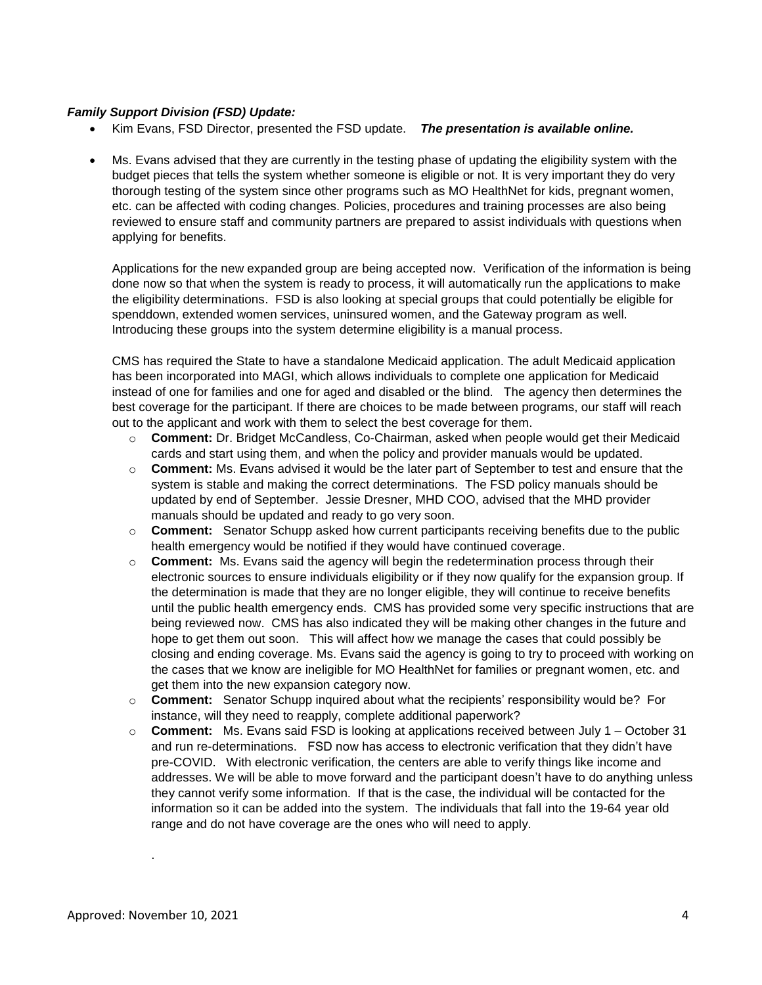#### *Family Support Division (FSD) Update:*

- Kim Evans, FSD Director, presented the FSD update. *The presentation is available online.*
- Ms. Evans advised that they are currently in the testing phase of updating the eligibility system with the budget pieces that tells the system whether someone is eligible or not. It is very important they do very thorough testing of the system since other programs such as MO HealthNet for kids, pregnant women, etc. can be affected with coding changes. Policies, procedures and training processes are also being reviewed to ensure staff and community partners are prepared to assist individuals with questions when applying for benefits.

Applications for the new expanded group are being accepted now. Verification of the information is being done now so that when the system is ready to process, it will automatically run the applications to make the eligibility determinations. FSD is also looking at special groups that could potentially be eligible for spenddown, extended women services, uninsured women, and the Gateway program as well. Introducing these groups into the system determine eligibility is a manual process.

CMS has required the State to have a standalone Medicaid application. The adult Medicaid application has been incorporated into MAGI, which allows individuals to complete one application for Medicaid instead of one for families and one for aged and disabled or the blind. The agency then determines the best coverage for the participant. If there are choices to be made between programs, our staff will reach out to the applicant and work with them to select the best coverage for them.

- o **Comment:** Dr. Bridget McCandless, Co-Chairman, asked when people would get their Medicaid cards and start using them, and when the policy and provider manuals would be updated.
- o **Comment:** Ms. Evans advised it would be the later part of September to test and ensure that the system is stable and making the correct determinations. The FSD policy manuals should be updated by end of September. Jessie Dresner, MHD COO, advised that the MHD provider manuals should be updated and ready to go very soon.
- o **Comment:** Senator Schupp asked how current participants receiving benefits due to the public health emergency would be notified if they would have continued coverage.
- o **Comment:** Ms. Evans said the agency will begin the redetermination process through their electronic sources to ensure individuals eligibility or if they now qualify for the expansion group. If the determination is made that they are no longer eligible, they will continue to receive benefits until the public health emergency ends. CMS has provided some very specific instructions that are being reviewed now. CMS has also indicated they will be making other changes in the future and hope to get them out soon. This will affect how we manage the cases that could possibly be closing and ending coverage. Ms. Evans said the agency is going to try to proceed with working on the cases that we know are ineligible for MO HealthNet for families or pregnant women, etc. and get them into the new expansion category now.
- o **Comment:** Senator Schupp inquired about what the recipients' responsibility would be? For instance, will they need to reapply, complete additional paperwork?
- o **Comment:** Ms. Evans said FSD is looking at applications received between July 1 October 31 and run re-determinations. FSD now has access to electronic verification that they didn't have pre-COVID. With electronic verification, the centers are able to verify things like income and addresses. We will be able to move forward and the participant doesn't have to do anything unless they cannot verify some information. If that is the case, the individual will be contacted for the information so it can be added into the system. The individuals that fall into the 19-64 year old range and do not have coverage are the ones who will need to apply.

.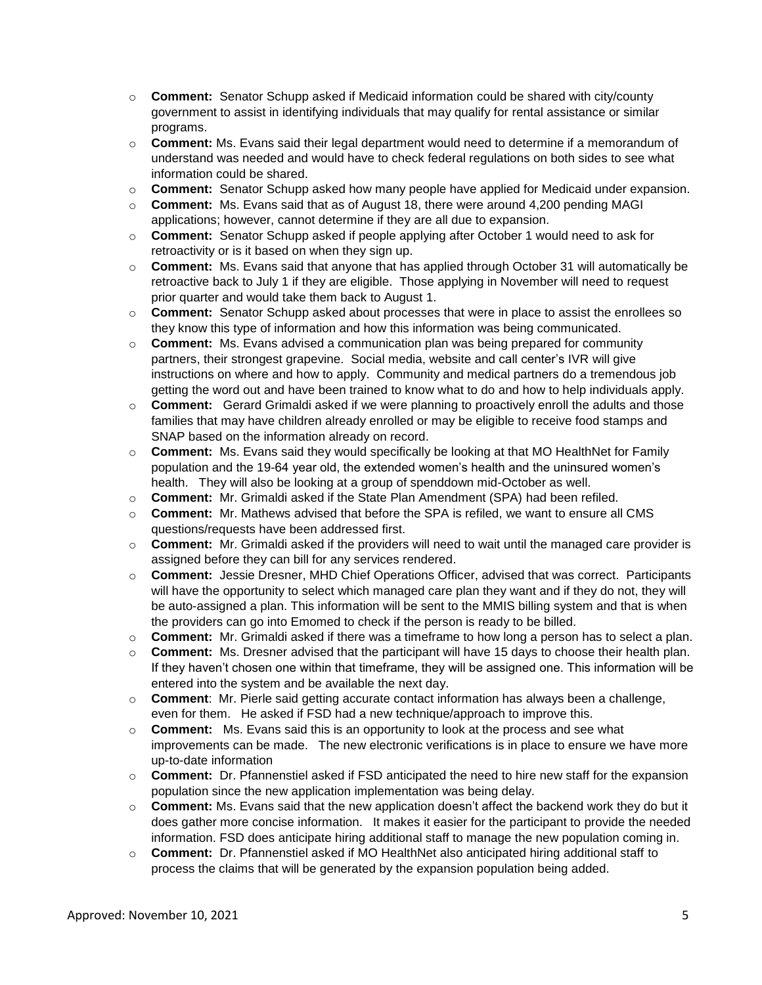- o **Comment:**Senator Schupp asked if Medicaid information could be shared with city/county government to assist in identifying individuals that may qualify for rental assistance or similar programs.
- o **Comment:** Ms. Evans said their legal department would need to determine if a memorandum of understand was needed and would have to check federal regulations on both sides to see what information could be shared.
- o **Comment:** Senator Schupp asked how many people have applied for Medicaid under expansion.
- o **Comment:** Ms. Evans said that as of August 18, there were around 4,200 pending MAGI applications; however, cannot determine if they are all due to expansion.
- o **Comment:** Senator Schupp asked if people applying after October 1 would need to ask for retroactivity or is it based on when they sign up.
- o **Comment:**Ms. Evans said that anyone that has applied through October 31 will automatically be retroactive back to July 1 if they are eligible. Those applying in November will need to request prior quarter and would take them back to August 1.
- o **Comment:**Senator Schupp asked about processes that were in place to assist the enrollees so they know this type of information and how this information was being communicated.
- o **Comment:** Ms. Evans advised a communication plan was being prepared for community partners, their strongest grapevine. Social media, website and call center's IVR will give instructions on where and how to apply. Community and medical partners do a tremendous job getting the word out and have been trained to know what to do and how to help individuals apply.
- o **Comment:**Gerard Grimaldi asked if we were planning to proactively enroll the adults and those families that may have children already enrolled or may be eligible to receive food stamps and SNAP based on the information already on record.
- o **Comment:**Ms. Evans said they would specifically be looking at that MO HealthNet for Family population and the 19-64 year old, the extended women's health and the uninsured women's health. They will also be looking at a group of spenddown mid-October as well.
- o **Comment:**Mr. Grimaldi asked if the State Plan Amendment (SPA) had been refiled.
- o **Comment:**Mr. Mathews advised that before the SPA is refiled, we want to ensure all CMS questions/requests have been addressed first.
- o **Comment:** Mr. Grimaldi asked if the providers will need to wait until the managed care provider is assigned before they can bill for any services rendered.
- o **Comment:**Jessie Dresner, MHD Chief Operations Officer, advised that was correct. Participants will have the opportunity to select which managed care plan they want and if they do not, they will be auto-assigned a plan. This information will be sent to the MMIS billing system and that is when the providers can go into Emomed to check if the person is ready to be billed.
- o **Comment:**Mr. Grimaldi asked if there was a timeframe to how long a person has to select a plan.
- o **Comment:** Ms. Dresner advised that the participant will have 15 days to choose their health plan. If they haven't chosen one within that timeframe, they will be assigned one. This information will be entered into the system and be available the next day.
- o **Comment**: Mr. Pierle said getting accurate contact information has always been a challenge, even for them. He asked if FSD had a new technique/approach to improve this.
- o **Comment:** Ms. Evans said this is an opportunity to look at the process and see what improvements can be made. The new electronic verifications is in place to ensure we have more up-to-date information
- o **Comment:**Dr. Pfannenstiel asked if FSD anticipated the need to hire new staff for the expansion population since the new application implementation was being delay.
- o **Comment:** Ms. Evans said that the new application doesn't affect the backend work they do but it does gather more concise information. It makes it easier for the participant to provide the needed information. FSD does anticipate hiring additional staff to manage the new population coming in.
- o **Comment:**Dr. Pfannenstiel asked if MO HealthNet also anticipated hiring additional staff to process the claims that will be generated by the expansion population being added.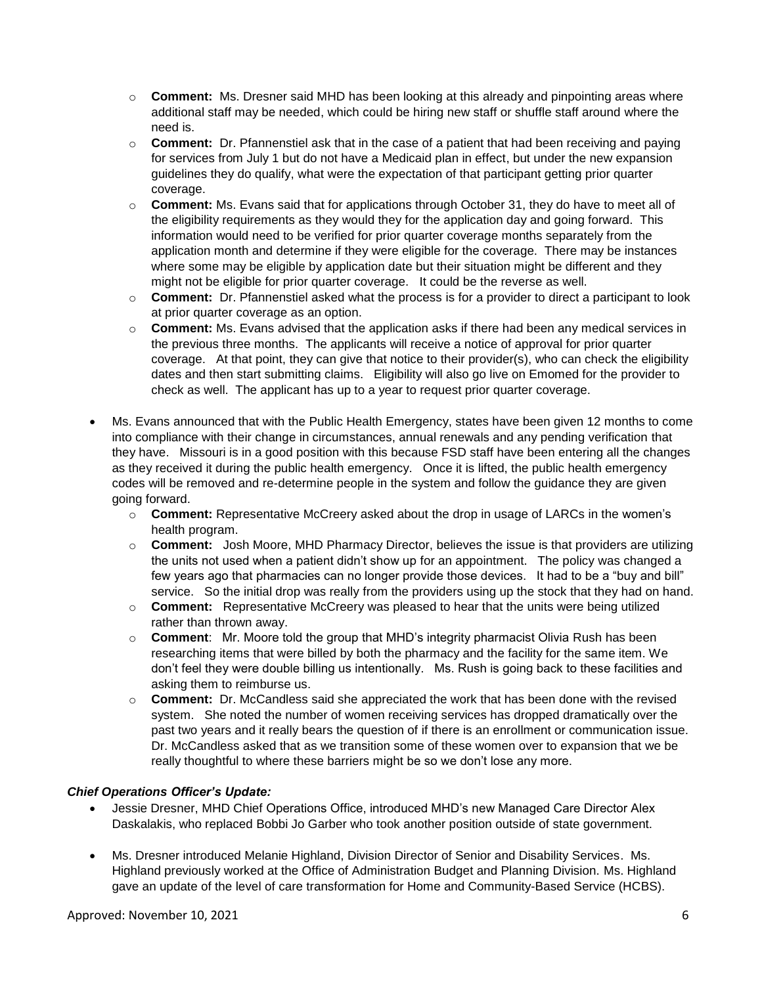- o **Comment:**Ms. Dresner said MHD has been looking at this already and pinpointing areas where additional staff may be needed, which could be hiring new staff or shuffle staff around where the need is.
- o **Comment:** Dr. Pfannenstiel ask that in the case of a patient that had been receiving and paying for services from July 1 but do not have a Medicaid plan in effect, but under the new expansion guidelines they do qualify, what were the expectation of that participant getting prior quarter coverage.
- o **Comment:** Ms. Evans said that for applications through October 31, they do have to meet all of the eligibility requirements as they would they for the application day and going forward. This information would need to be verified for prior quarter coverage months separately from the application month and determine if they were eligible for the coverage. There may be instances where some may be eligible by application date but their situation might be different and they might not be eligible for prior quarter coverage. It could be the reverse as well.
- o **Comment:**Dr. Pfannenstiel asked what the process is for a provider to direct a participant to look at prior quarter coverage as an option.
- o **Comment:** Ms. Evans advised that the application asks if there had been any medical services in the previous three months. The applicants will receive a notice of approval for prior quarter coverage. At that point, they can give that notice to their provider(s), who can check the eligibility dates and then start submitting claims. Eligibility will also go live on Emomed for the provider to check as well. The applicant has up to a year to request prior quarter coverage.
- Ms. Evans announced that with the Public Health Emergency, states have been given 12 months to come into compliance with their change in circumstances, annual renewals and any pending verification that they have. Missouri is in a good position with this because FSD staff have been entering all the changes as they received it during the public health emergency. Once it is lifted, the public health emergency codes will be removed and re-determine people in the system and follow the guidance they are given going forward.
	- o **Comment:** Representative McCreery asked about the drop in usage of LARCs in the women's health program.
	- o **Comment:** Josh Moore, MHD Pharmacy Director, believes the issue is that providers are utilizing the units not used when a patient didn't show up for an appointment. The policy was changed a few years ago that pharmacies can no longer provide those devices. It had to be a "buy and bill" service. So the initial drop was really from the providers using up the stock that they had on hand.
	- o **Comment:** Representative McCreery was pleased to hear that the units were being utilized rather than thrown away.
	- o **Comment**: Mr. Moore told the group that MHD's integrity pharmacist Olivia Rush has been researching items that were billed by both the pharmacy and the facility for the same item. We don't feel they were double billing us intentionally. Ms. Rush is going back to these facilities and asking them to reimburse us.
	- o **Comment:** Dr. McCandless said she appreciated the work that has been done with the revised system. She noted the number of women receiving services has dropped dramatically over the past two years and it really bears the question of if there is an enrollment or communication issue. Dr. McCandless asked that as we transition some of these women over to expansion that we be really thoughtful to where these barriers might be so we don't lose any more.

# *Chief Operations Officer's Update:*

- Jessie Dresner, MHD Chief Operations Office, introduced MHD's new Managed Care Director Alex Daskalakis, who replaced Bobbi Jo Garber who took another position outside of state government.
- Ms. Dresner introduced Melanie Highland, Division Director of Senior and Disability Services. Ms. Highland previously worked at the Office of Administration Budget and Planning Division. Ms. Highland gave an update of the level of care transformation for Home and Community-Based Service (HCBS).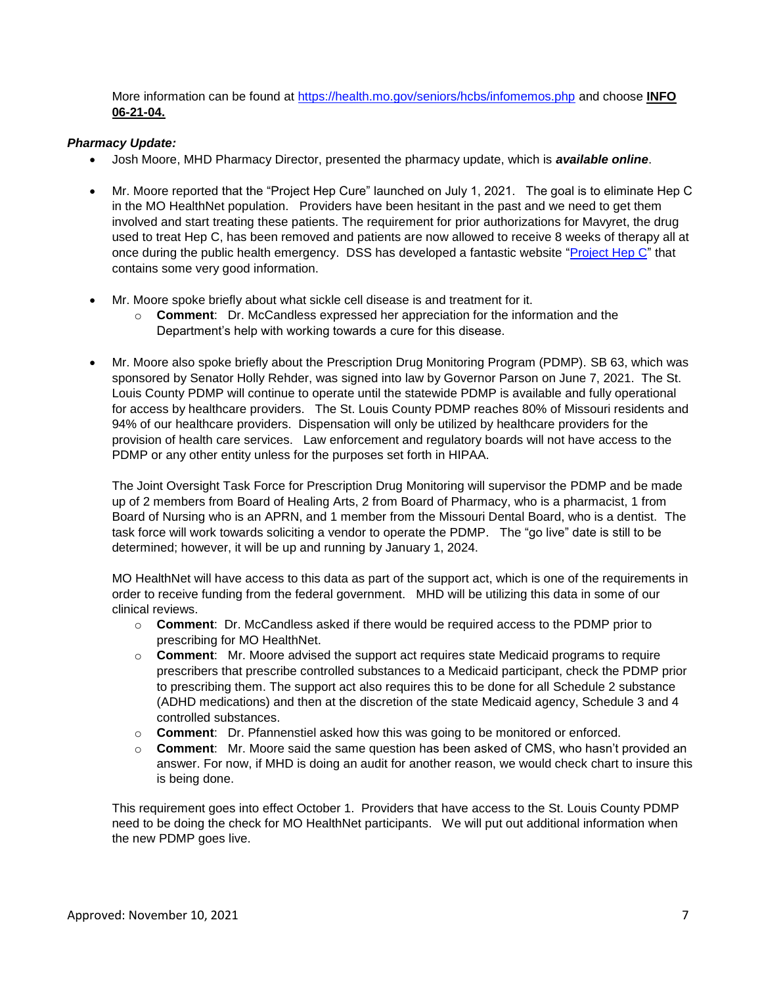More information can be found at<https://health.mo.gov/seniors/hcbs/infomemos.php> and choose **INFO 06-21-04.**

## *Pharmacy Update:*

- Josh Moore, MHD Pharmacy Director, presented the pharmacy update, which is *available online*.
- Mr. Moore reported that the "Project Hep Cure" launched on July 1, 2021. The goal is to eliminate Hep C in the MO HealthNet population. Providers have been hesitant in the past and we need to get them involved and start treating these patients. The requirement for prior authorizations for Mavyret, the drug used to treat Hep C, has been removed and patients are now allowed to receive 8 weeks of therapy all at once during the public health emergency. DSS has developed a fantastic website ["Project Hep C"](https://dss.mo.gov/mhd/hepc/) that contains some very good information.
- Mr. Moore spoke briefly about what sickle cell disease is and treatment for it.
	- o **Comment**: Dr. McCandless expressed her appreciation for the information and the Department's help with working towards a cure for this disease.
- Mr. Moore also spoke briefly about the Prescription Drug Monitoring Program (PDMP). SB 63, which was sponsored by Senator Holly Rehder, was signed into law by Governor Parson on June 7, 2021. The St. Louis County PDMP will continue to operate until the statewide PDMP is available and fully operational for access by healthcare providers. The St. Louis County PDMP reaches 80% of Missouri residents and 94% of our healthcare providers. Dispensation will only be utilized by healthcare providers for the provision of health care services. Law enforcement and regulatory boards will not have access to the PDMP or any other entity unless for the purposes set forth in HIPAA.

The Joint Oversight Task Force for Prescription Drug Monitoring will supervisor the PDMP and be made up of 2 members from Board of Healing Arts, 2 from Board of Pharmacy, who is a pharmacist, 1 from Board of Nursing who is an APRN, and 1 member from the Missouri Dental Board, who is a dentist. The task force will work towards soliciting a vendor to operate the PDMP. The "go live" date is still to be determined; however, it will be up and running by January 1, 2024.

MO HealthNet will have access to this data as part of the support act, which is one of the requirements in order to receive funding from the federal government. MHD will be utilizing this data in some of our clinical reviews.

- o **Comment**: Dr. McCandless asked if there would be required access to the PDMP prior to prescribing for MO HealthNet.
- o **Comment**: Mr. Moore advised the support act requires state Medicaid programs to require prescribers that prescribe controlled substances to a Medicaid participant, check the PDMP prior to prescribing them. The support act also requires this to be done for all Schedule 2 substance (ADHD medications) and then at the discretion of the state Medicaid agency, Schedule 3 and 4 controlled substances.
- o **Comment**: Dr. Pfannenstiel asked how this was going to be monitored or enforced.
- o **Comment**: Mr. Moore said the same question has been asked of CMS, who hasn't provided an answer. For now, if MHD is doing an audit for another reason, we would check chart to insure this is being done.

This requirement goes into effect October 1. Providers that have access to the St. Louis County PDMP need to be doing the check for MO HealthNet participants. We will put out additional information when the new PDMP goes live.